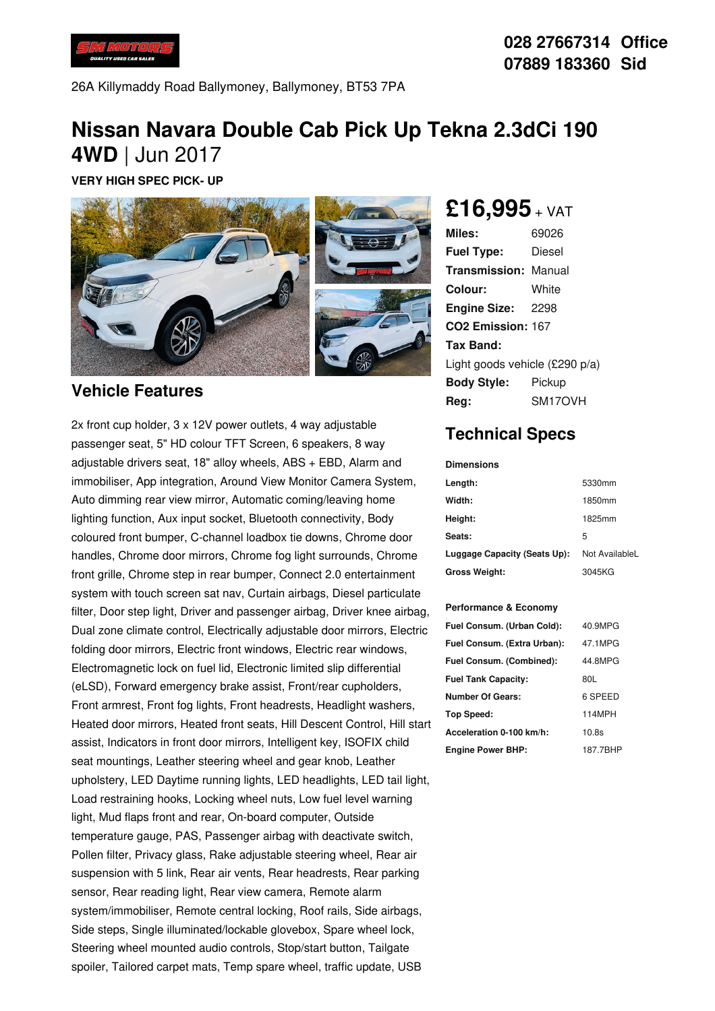

26A Killymaddy Road Ballymoney, Ballymoney, BT53 7PA

# **Nissan Navara Double Cab Pick Up Tekna 2.3dCi 190 4WD** | Jun 2017

**VERY HIGH SPEC PICK- UP**



#### **Vehicle Features**

2x front cup holder, 3 x 12V power outlets, 4 way adjustable passenger seat, 5" HD colour TFT Screen, 6 speakers, 8 way adjustable drivers seat, 18" alloy wheels, ABS + EBD, Alarm and immobiliser, App integration, Around View Monitor Camera System, Auto dimming rear view mirror, Automatic coming/leaving home lighting function, Aux input socket, Bluetooth connectivity, Body coloured front bumper, C-channel loadbox tie downs, Chrome door handles, Chrome door mirrors, Chrome fog light surrounds, Chrome front grille, Chrome step in rear bumper, Connect 2.0 entertainment system with touch screen sat nav, Curtain airbags, Diesel particulate filter, Door step light, Driver and passenger airbag, Driver knee airbag, Dual zone climate control, Electrically adjustable door mirrors, Electric folding door mirrors, Electric front windows, Electric rear windows, Electromagnetic lock on fuel lid, Electronic limited slip differential (eLSD), Forward emergency brake assist, Front/rear cupholders, Front armrest, Front fog lights, Front headrests, Headlight washers, Heated door mirrors, Heated front seats, Hill Descent Control, Hill start assist, Indicators in front door mirrors, Intelligent key, ISOFIX child seat mountings, Leather steering wheel and gear knob, Leather upholstery, LED Daytime running lights, LED headlights, LED tail light, Load restraining hooks, Locking wheel nuts, Low fuel level warning light, Mud flaps front and rear, On-board computer, Outside temperature gauge, PAS, Passenger airbag with deactivate switch, Pollen filter, Privacy glass, Rake adjustable steering wheel, Rear air suspension with 5 link, Rear air vents, Rear headrests, Rear parking sensor, Rear reading light, Rear view camera, Remote alarm system/immobiliser, Remote central locking, Roof rails, Side airbags, Side steps, Single illuminated/lockable glovebox, Spare wheel lock, Steering wheel mounted audio controls, Stop/start button, Tailgate spoiler, Tailored carpet mats, Temp spare wheel, traffic update, USB

**£16,995** <sup>+</sup> VAT

**Miles:** 69026 **Fuel Type:** Diesel **Transmission:** Manual **Colour:** White **Engine Size:** 2298 **CO2 Emission:** 167 **Tax Band:** Light goods vehicle (£290 p/a) **Body Style:** Pickup **Reg:** SM17OVH

### **Technical Specs**

**Dimensions**

| Length:                      | 5330mm         |
|------------------------------|----------------|
| Width:                       | 1850mm         |
| Height:                      | 1825mm         |
| Seats:                       | 5              |
| Luggage Capacity (Seats Up): | Not AvailableL |
| <b>Gross Weight:</b>         | 3045KG         |

#### **Performance & Economy**

| Fuel Consum. (Urban Cold):  | 40.9MPG  |
|-----------------------------|----------|
| Fuel Consum. (Extra Urban): | 47.1MPG  |
| Fuel Consum. (Combined):    | 44.8MPG  |
| <b>Fuel Tank Capacity:</b>  | 80L      |
| <b>Number Of Gears:</b>     | 6 SPEED  |
| Top Speed:                  | 114MPH   |
| Acceleration 0-100 km/h:    | 10.8s    |
| <b>Engine Power BHP:</b>    | 187.7BHP |